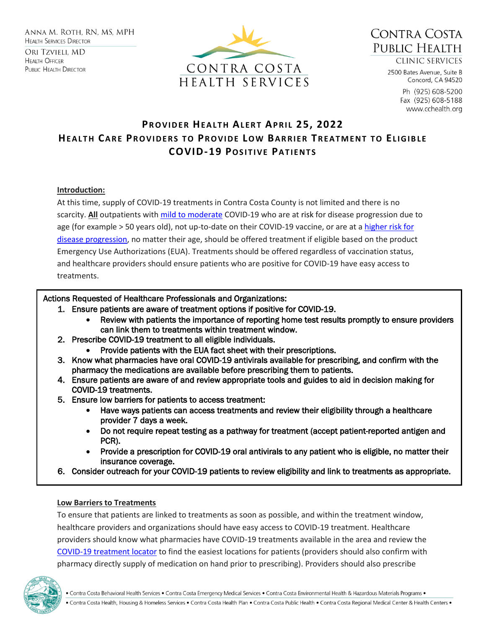**HEALTH OFFICER PUBLIC HEALTH DIRECTOR** 





**CLINIC SERVICES** 

2500 Bates Avenue, Suite B Concord, CA 94520

> Ph (925) 608-5200 Fax (925) 608-5188 www.cchealth.org

# **PR O V I D E R HE A L T H AL E R T AP R I L 25, 2022 HEALTH CARE PROVIDERS TO PROVIDE LOW BARRIER TREATMENT TO ELIGIBLE COVID-19 POSITIVE PATIENTS**

#### **Introduction:**

At this time, supply of COVID-19 treatments in Contra Costa County is not limited and there is no scarcity. **All** outpatients with [mild to moderate](https://www.covid19treatmentguidelines.nih.gov/overview/clinical-spectrum/) COVID-19 who are at risk for disease progression due to age (for example > 50 years old), not up-to-date on their COVID-19 vaccine, or are at a [higher risk for](https://www.cdc.gov/coronavirus/2019-ncov/need-extra-precautions/people-with-medical-conditions.html#MedicalConditionsAdults)  [disease progression,](https://www.cdc.gov/coronavirus/2019-ncov/need-extra-precautions/people-with-medical-conditions.html#MedicalConditionsAdults) no matter their age, should be offered treatment if eligible based on the product Emergency Use Authorizations (EUA). Treatments should be offered regardless of vaccination status, and healthcare providers should ensure patients who are positive for COVID-19 have easy access to treatments.

# Actions Requested of Healthcare Professionals and Organizations:

- 1. Ensure patients are aware of treatment options if positive for COVID-19.
	- Review with patients the importance of reporting home test results promptly to ensure providers can link them to treatments within treatment window.
- 2. Prescribe COVID-19 treatment to all eligible individuals.
	- Provide patients with the EUA fact sheet with their prescriptions.
- 3. Know what pharmacies have oral COVID-19 antivirals available for prescribing, and confirm with the pharmacy the medications are available before prescribing them to patients.
- 4. Ensure patients are aware of and review appropriate tools and guides to aid in decision making for COVID-19 treatments.
- 5. Ensure low barriers for patients to access treatment:
	- Have ways patients can access treatments and review their eligibility through a healthcare provider 7 days a week.
	- Do not require repeat testing as a pathway for treatment (accept patient-reported antigen and PCR).
	- Provide a prescription for COVID-19 oral antivirals to any patient who is eligible, no matter their insurance coverage.
- 6. Consider outreach for your COVID-19 patients to review eligibility and link to treatments as appropriate.

#### **Low Barriers to Treatments**

To ensure that patients are linked to treatments as soon as possible, and within the treatment window, healthcare providers and organizations should have easy access to COVID-19 treatment. Healthcare providers should know what pharmacies have COVID-19 treatments available in the area and review the [COVID-19 treatment locator](https://covid-19-therapeutics-locator-dhhs.hub.arcgis.com/) to find the easiest locations for patients (providers should also confirm with pharmacy directly supply of medication on hand prior to prescribing). Providers should also prescribe

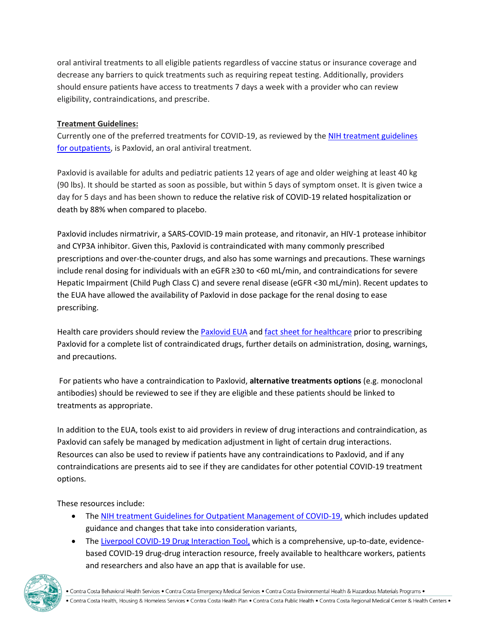oral antiviral treatments to all eligible patients regardless of vaccine status or insurance coverage and decrease any barriers to quick treatments such as requiring repeat testing. Additionally, providers should ensure patients have access to treatments 7 days a week with a provider who can review eligibility, contraindications, and prescribe.

## **Treatment Guidelines:**

Currently one of the preferred treatments for COVID-19, as reviewed by th[e NIH treatment guidelines](https://www.covid19treatmentguidelines.nih.gov/management/clinical-management/nonhospitalized-adults--therapeutic-management/)  [for outpatients,](https://www.covid19treatmentguidelines.nih.gov/management/clinical-management/nonhospitalized-adults--therapeutic-management/) is Paxlovid, an oral antiviral treatment.

Paxlovid is available for adults and pediatric patients 12 years of age and older weighing at least 40 kg (90 lbs). It should be started as soon as possible, but within 5 days of symptom onset. It is given twice a day for 5 days and has been shown to reduce the relative risk of COVID-19 related hospitalization or death by 88% when compared to placebo.

Paxlovid includes nirmatrivir, a SARS-COVID-19 main protease, and ritonavir, an HIV-1 protease inhibitor and CYP3A inhibitor. Given this, Paxlovid is contraindicated with many commonly prescribed prescriptions and over-the-counter drugs, and also has some warnings and precautions. These warnings include renal dosing for individuals with an eGFR ≥30 to <60 mL/min, and contraindications for severe Hepatic Impairment (Child Pugh Class C) and severe renal disease (eGFR <30 mL/min). Recent updates to the EUA have allowed the availability of Paxlovid in dose package for the renal dosing to ease prescribing.

Health care providers should review the [Paxlovid EUA](https://www.fda.gov/media/155049/download) an[d fact sheet for healthcare](https://www.fda.gov/media/155050/download) prior to prescribing Paxlovid for a complete list of contraindicated drugs, further details on administration, dosing, warnings, and precautions.

For patients who have a contraindication to Paxlovid, **alternative treatments options** (e.g. monoclonal antibodies) should be reviewed to see if they are eligible and these patients should be linked to treatments as appropriate.

In addition to the EUA, tools exist to aid providers in review of drug interactions and contraindication, as Paxlovid can safely be managed by medication adjustment in light of certain drug interactions. Resources can also be used to review if patients have any contraindications to Paxlovid, and if any contraindications are presents aid to see if they are candidates for other potential COVID-19 treatment options.

These resources include:

- The [NIH treatment Guidelines for Outpatient](https://www.covid19treatmentguidelines.nih.gov/management/clinical-management/nonhospitalized-adults--therapeutic-management/) Management of COVID-19, which includes updated guidance and changes that take into consideration variants,
- The [Liverpool COVID-19 Drug Interaction Tool,](file:///C:/Users/smekuria/Desktop/%20https/covid19-druginteractions.org/checker) which is a comprehensive, up-to-date, evidencebased COVID-19 drug-drug interaction resource, freely available to healthcare workers, patients and researchers and also have an app that is available for use.